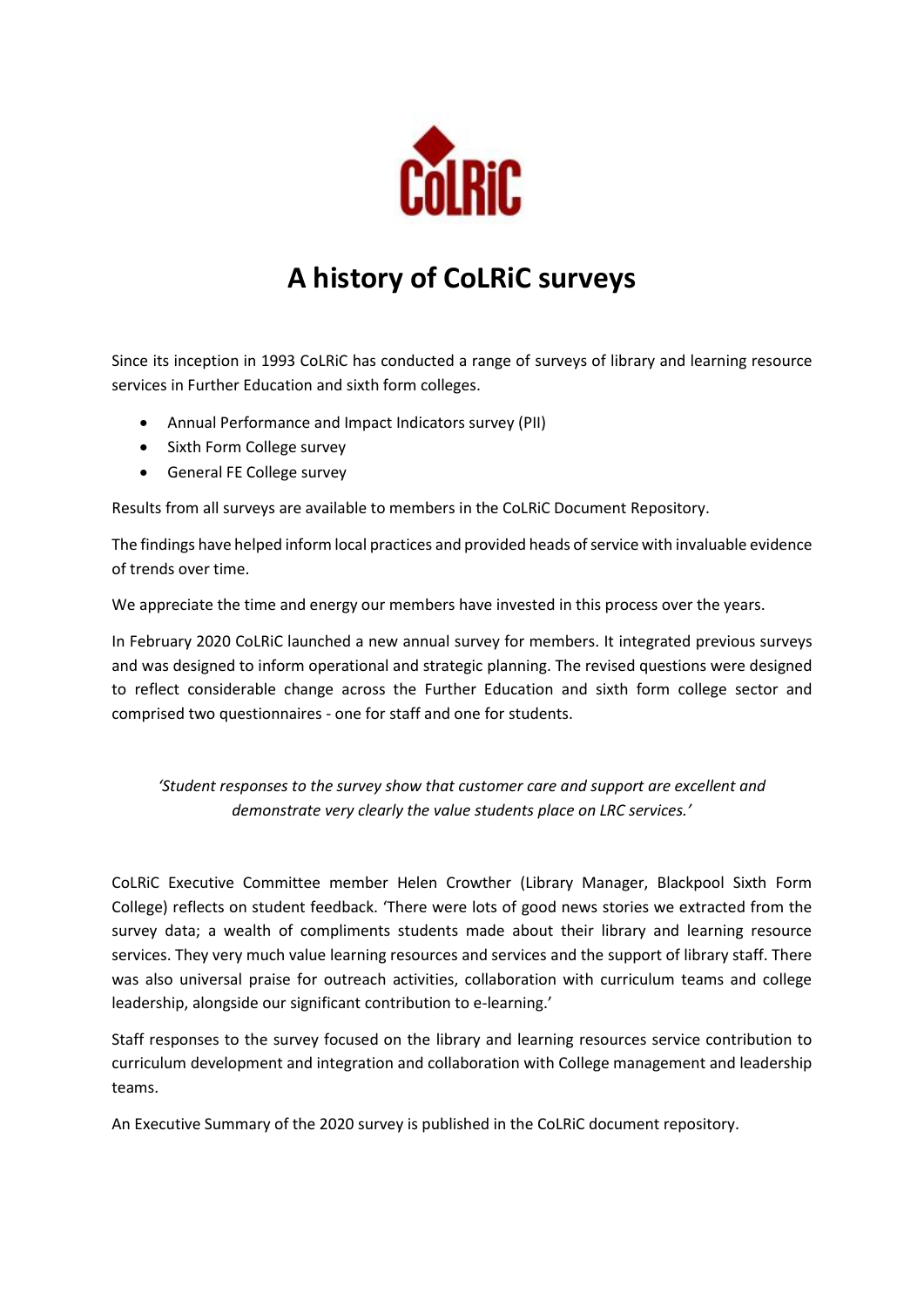

# **A history of CoLRiC surveys**

Since its inception in 1993 CoLRiC has conducted a range of surveys of library and learning resource services in Further Education and sixth form colleges.

- Annual Performance and Impact Indicators survey (PII)
- Sixth Form College survey
- General FE College survey

Results from all surveys are available to members in the CoLRiC Document Repository.

The findings have helped inform local practices and provided heads of service with invaluable evidence of trends over time.

We appreciate the time and energy our members have invested in this process over the years.

In February 2020 CoLRiC launched a new annual survey for members. It integrated previous surveys and was designed to inform operational and strategic planning. The revised questions were designed to reflect considerable change across the Further Education and sixth form college sector and comprised two questionnaires - one for staff and one for students.

#### *'Student responses to the survey show that customer care and support are excellent and demonstrate very clearly the value students place on LRC services.'*

CoLRiC Executive Committee member Helen Crowther (Library Manager, Blackpool Sixth Form College) reflects on student feedback. 'There were lots of good news stories we extracted from the survey data; a wealth of compliments students made about their library and learning resource services. They very much value learning resources and services and the support of library staff. There was also universal praise for outreach activities, collaboration with curriculum teams and college leadership, alongside our significant contribution to e-learning.'

Staff responses to the survey focused on the library and learning resources service contribution to curriculum development and integration and collaboration with College management and leadership teams.

An Executive Summary of the 2020 survey is published in the CoLRiC document repository.